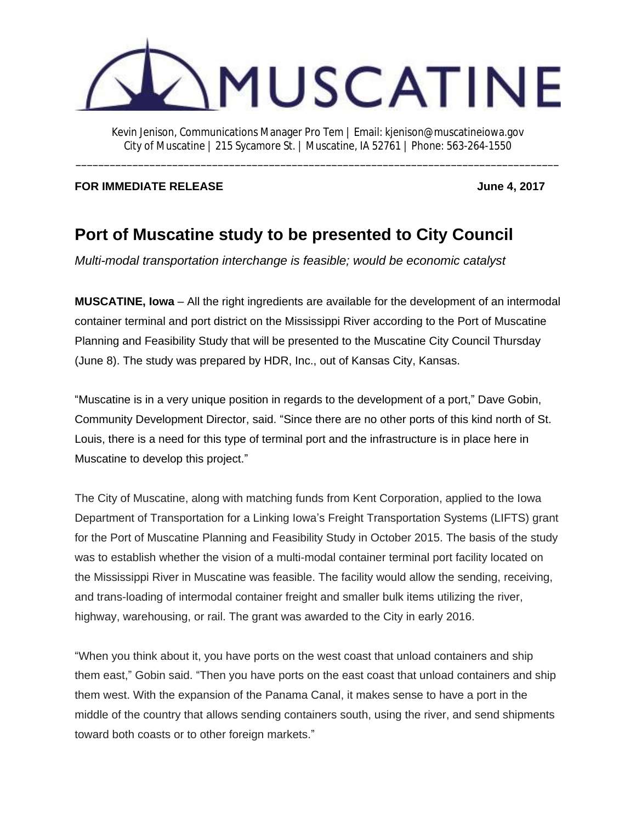

\_\_\_\_\_\_\_\_\_\_\_\_\_\_\_\_\_\_\_\_\_\_\_\_\_\_\_\_\_\_\_\_\_\_\_\_\_\_\_\_\_\_\_\_\_\_\_\_\_\_\_\_\_\_\_\_\_\_\_\_\_\_\_\_\_\_\_\_\_\_\_\_\_\_\_\_\_\_\_\_\_\_\_\_\_

**FOR IMMEDIATE RELEASE Security 10 and 2017 June 4, 2017** 

## **Port of Muscatine study to be presented to City Council**

*Multi-modal transportation interchange is feasible; would be economic catalyst*

**MUSCATINE, Iowa** – All the right ingredients are available for the development of an intermodal container terminal and port district on the Mississippi River according to the Port of Muscatine Planning and Feasibility Study that will be presented to the Muscatine City Council Thursday (June 8). The study was prepared by HDR, Inc., out of Kansas City, Kansas.

"Muscatine is in a very unique position in regards to the development of a port," Dave Gobin, Community Development Director, said. "Since there are no other ports of this kind north of St. Louis, there is a need for this type of terminal port and the infrastructure is in place here in Muscatine to develop this project."

The City of Muscatine, along with matching funds from Kent Corporation, applied to the Iowa Department of Transportation for a Linking Iowa's Freight Transportation Systems (LIFTS) grant for the Port of Muscatine Planning and Feasibility Study in October 2015. The basis of the study was to establish whether the vision of a multi-modal container terminal port facility located on the Mississippi River in Muscatine was feasible. The facility would allow the sending, receiving, and trans-loading of intermodal container freight and smaller bulk items utilizing the river, highway, warehousing, or rail. The grant was awarded to the City in early 2016.

"When you think about it, you have ports on the west coast that unload containers and ship them east," Gobin said. "Then you have ports on the east coast that unload containers and ship them west. With the expansion of the Panama Canal, it makes sense to have a port in the middle of the country that allows sending containers south, using the river, and send shipments toward both coasts or to other foreign markets."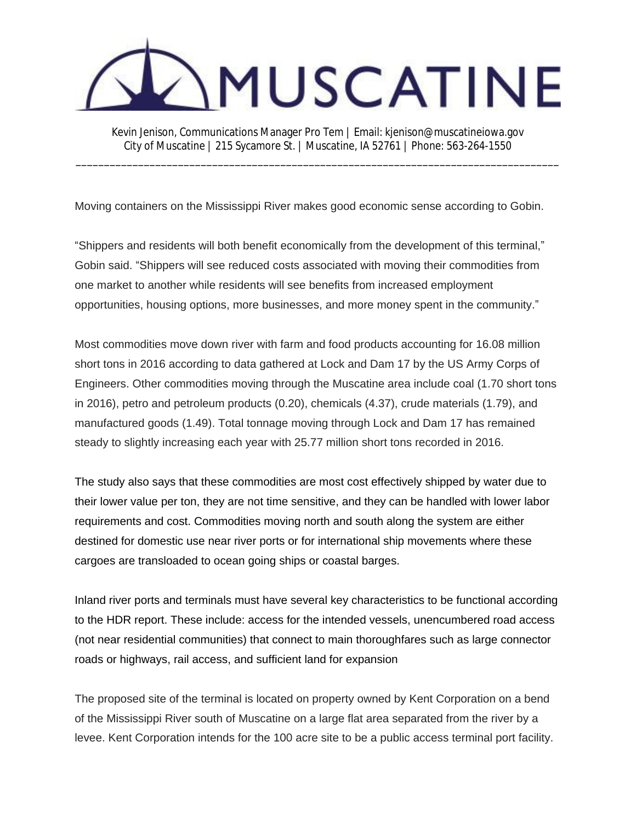

\_\_\_\_\_\_\_\_\_\_\_\_\_\_\_\_\_\_\_\_\_\_\_\_\_\_\_\_\_\_\_\_\_\_\_\_\_\_\_\_\_\_\_\_\_\_\_\_\_\_\_\_\_\_\_\_\_\_\_\_\_\_\_\_\_\_\_\_\_\_\_\_\_\_\_\_\_\_\_\_\_\_\_\_\_

Moving containers on the Mississippi River makes good economic sense according to Gobin.

"Shippers and residents will both benefit economically from the development of this terminal," Gobin said. "Shippers will see reduced costs associated with moving their commodities from one market to another while residents will see benefits from increased employment opportunities, housing options, more businesses, and more money spent in the community."

Most commodities move down river with farm and food products accounting for 16.08 million short tons in 2016 according to data gathered at Lock and Dam 17 by the US Army Corps of Engineers. Other commodities moving through the Muscatine area include coal (1.70 short tons in 2016), petro and petroleum products (0.20), chemicals (4.37), crude materials (1.79), and manufactured goods (1.49). Total tonnage moving through Lock and Dam 17 has remained steady to slightly increasing each year with 25.77 million short tons recorded in 2016.

The study also says that these commodities are most cost effectively shipped by water due to their lower value per ton, they are not time sensitive, and they can be handled with lower labor requirements and cost. Commodities moving north and south along the system are either destined for domestic use near river ports or for international ship movements where these cargoes are transloaded to ocean going ships or coastal barges.

Inland river ports and terminals must have several key characteristics to be functional according to the HDR report. These include: access for the intended vessels, unencumbered road access (not near residential communities) that connect to main thoroughfares such as large connector roads or highways, rail access, and sufficient land for expansion

The proposed site of the terminal is located on property owned by Kent Corporation on a bend of the Mississippi River south of Muscatine on a large flat area separated from the river by a levee. Kent Corporation intends for the 100 acre site to be a public access terminal port facility.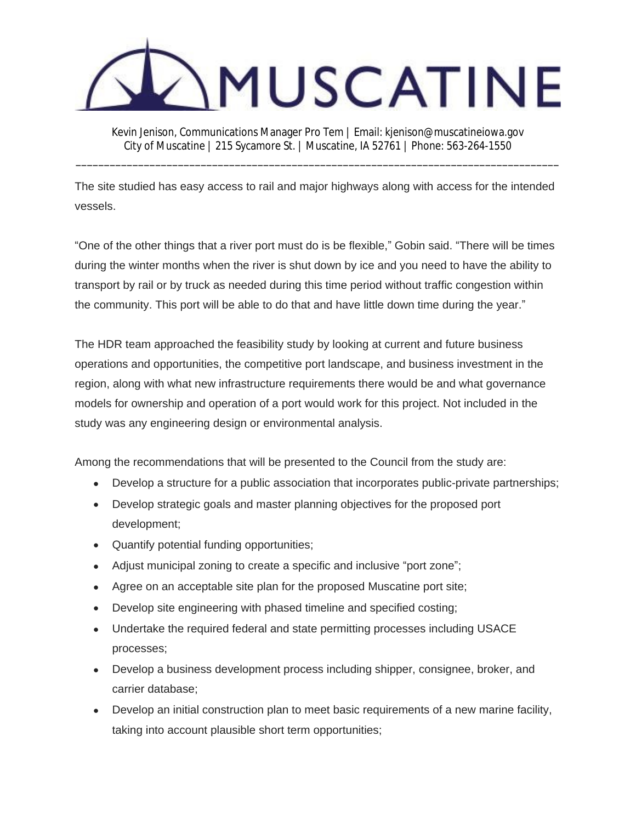

\_\_\_\_\_\_\_\_\_\_\_\_\_\_\_\_\_\_\_\_\_\_\_\_\_\_\_\_\_\_\_\_\_\_\_\_\_\_\_\_\_\_\_\_\_\_\_\_\_\_\_\_\_\_\_\_\_\_\_\_\_\_\_\_\_\_\_\_\_\_\_\_\_\_\_\_\_\_\_\_\_\_\_\_\_

The site studied has easy access to rail and major highways along with access for the intended vessels.

"One of the other things that a river port must do is be flexible," Gobin said. "There will be times during the winter months when the river is shut down by ice and you need to have the ability to transport by rail or by truck as needed during this time period without traffic congestion within the community. This port will be able to do that and have little down time during the year."

The HDR team approached the feasibility study by looking at current and future business operations and opportunities, the competitive port landscape, and business investment in the region, along with what new infrastructure requirements there would be and what governance models for ownership and operation of a port would work for this project. Not included in the study was any engineering design or environmental analysis.

Among the recommendations that will be presented to the Council from the study are:

- Develop a structure for a public association that incorporates public-private partnerships;
- Develop strategic goals and master planning objectives for the proposed port development;
- Quantify potential funding opportunities;
- Adjust municipal zoning to create a specific and inclusive "port zone";
- Agree on an acceptable site plan for the proposed Muscatine port site;
- Develop site engineering with phased timeline and specified costing;
- Undertake the required federal and state permitting processes including USACE processes;
- Develop a business development process including shipper, consignee, broker, and carrier database;
- Develop an initial construction plan to meet basic requirements of a new marine facility, taking into account plausible short term opportunities;